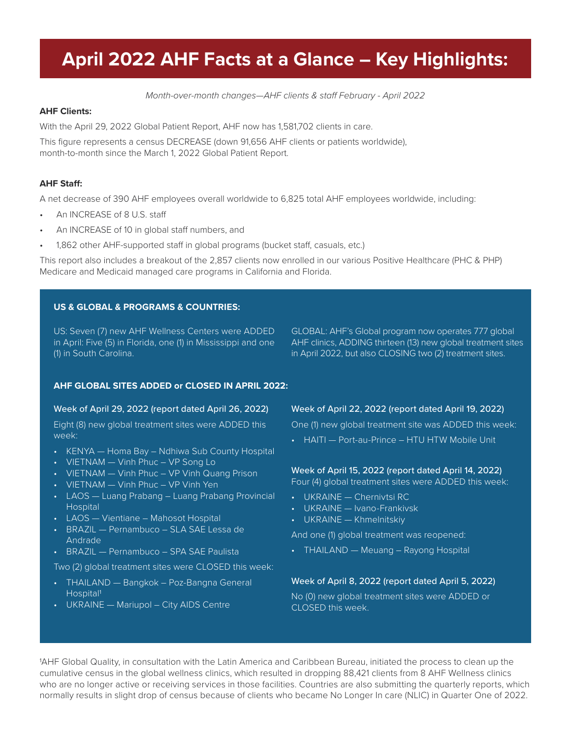## April 2022 AHF Facts at a Glance - Key Highlights:

*Month-over-month changes—AHF clients & sta*! *February - April 2022* 

#### **AHF Clients:**

With the April 29, 2022 Global Patient Report, AHF now has 1,581,702 clients in care.

This figure represents a census DECREASE (down 91,656 AHF clients or patients worldwide), month-to-month since the March 1, 2022 Global Patient Report.

#### **AHF Sta!:**

A net decrease of 390 AHF employees overall worldwide to 6,825 total AHF employees worldwide, including:

- An INCREASE of 8 U.S. staff
- An INCREASE of 10 in global staff numbers, and
- 1,862 other AHF-supported staff in global programs (bucket staff, casuals, etc.)

This report also includes a breakout of the 2,857 clients now enrolled in our various Positive Healthcare (PHC & PHP) Medicare and Medicaid managed care programs in California and Florida.

#### **US & GLOBAL & PROGRAMS & COUNTRIES:**

US: Seven (7) new AHF Wellness Centers were ADDED in April: Five (5) in Florida, one (1) in Mississippi and one (1) in South Carolina.

GLOBAL: AHF's Global program now operates 777 global AHF clinics, ADDING thirteen (13) new global treatment sites in April 2022, but also CLOSING two (2) treatment sites.

#### **AHF GLOBAL SITES ADDED or CLOSED IN APRIL 2022:**

#### Week of April 29, 2022 (report dated April 26, 2022)

Eight (8) new global treatment sites were ADDED this week:

- KENYA Homa Bay Ndhiwa Sub County Hospital
- VIETNAM Vinh Phuc VP Song Lo
- VIETNAM Vinh Phuc VP Vinh Quang Prison
- VIETNAM Vinh Phuc VP Vinh Yen
- LAOS Luang Prabang Luang Prabang Provincial Hospital
- LAOS Vientiane Mahosot Hospital
- BRAZIL Pernambuco SLA SAE Lessa de Andrade
- BRAZIL Pernambuco SPA SAE Paulista

Two (2) global treatment sites were CLOSED this week:

- THAILAND Bangkok Poz-Bangna General Hospital1
- UKRAINE Mariupol City AIDS Centre

#### Week of April 22, 2022 (report dated April 19, 2022)

One (1) new global treatment site was ADDED this week:

• HAITI — Port-au-Prince – HTU HTW Mobile Unit

#### Week of April 15, 2022 (report dated April 14, 2022)

Four (4) global treatment sites were ADDED this week:

- UKRAINE Chernivtsi RC
- UKRAINE Ivano-Frankivsk
- UKRAINE Khmelnitskiy

And one (1) global treatment was reopened:

• THAILAND — Meuang – Rayong Hospital

#### Week of April 8, 2022 (report dated April 5, 2022)

No (0) new global treatment sites were ADDED or CLOSED this week.

1AHF Global Quality, in consultation with the Latin America and Caribbean Bureau, initiated the process to clean up the cumulative census in the global wellness clinics, which resulted in dropping 88,421 clients from 8 AHF Wellness clinics who are no longer active or receiving services in those facilities. Countries are also submitting the quarterly reports, which normally results in slight drop of census because of clients who became No Longer In care (NLIC) in Quarter One of 2022.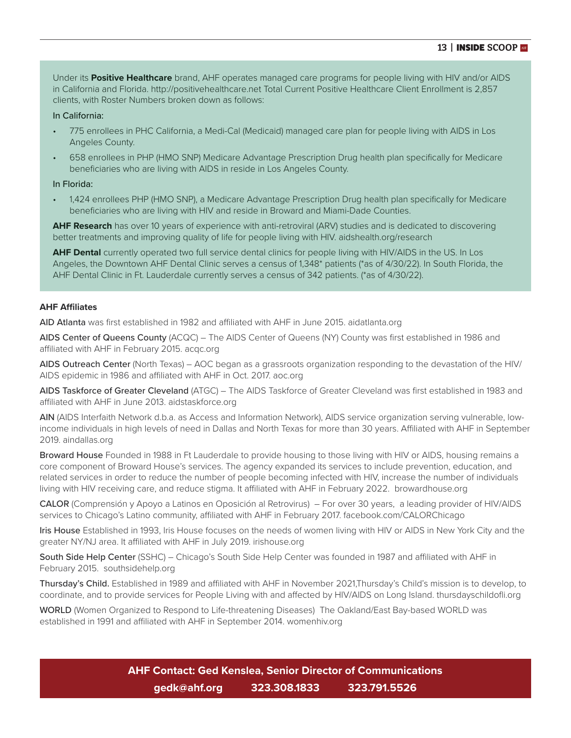Under its **Positive Healthcare** brand, AHF operates managed care programs for people living with HIV and/or AIDS in California and Florida. http://positivehealthcare.net Total Current Positive Healthcare Client Enrollment is 2,857 clients, with Roster Numbers broken down as follows:

#### In California:

- 775 enrollees in PHC California, a Medi-Cal (Medicaid) managed care plan for people living with AIDS in Los Angeles County.
- 658 enrollees in PHP (HMO SNP) Medicare Advantage Prescription Drug health plan specifically for Medicare beneficiaries who are living with AIDS in reside in Los Angeles County.

#### In Florida:

• 1,424 enrollees PHP (HMO SNP), a Medicare Advantage Prescription Drug health plan specifically for Medicare beneficiaries who are living with HIV and reside in Broward and Miami-Dade Counties.

**AHF Research** has over 10 years of experience with anti-retroviral (ARV) studies and is dedicated to discovering better treatments and improving quality of life for people living with HIV. aidshealth.org/research

**AHF Dental** currently operated two full service dental clinics for people living with HIV/AIDS in the US. In Los Angeles, the Downtown AHF Dental Clinic serves a census of 1,348\* patients (\*as of 4/30/22). In South Florida, the AHF Dental Clinic in Ft. Lauderdale currently serves a census of 342 patients. (\*as of 4/30/22).

#### **AHF A"liates**

AID Atlanta was first established in 1982 and affiliated with AHF in June 2015. aidatlanta.org

AIDS Center of Queens County (ACQC) – The AIDS Center of Queens (NY) County was first established in 1986 and affiliated with AHF in February 2015. acqc.org

AIDS Outreach Center (North Texas) – AOC began as a grassroots organization responding to the devastation of the HIV/ AIDS epidemic in 1986 and affiliated with AHF in Oct. 2017. aoc.org

AIDS Taskforce of Greater Cleveland (ATGC) – The AIDS Taskforce of Greater Cleveland was first established in 1983 and affiliated with AHF in June 2013. aidstaskforce.org

AIN (AIDS Interfaith Network d.b.a. as Access and Information Network), AIDS service organization serving vulnerable, lowincome individuals in high levels of need in Dallas and North Texas for more than 30 years. Affiliated with AHF in September 2019. aindallas.org

Broward House Founded in 1988 in Ft Lauderdale to provide housing to those living with HIV or AIDS, housing remains a core component of Broward House's services. The agency expanded its services to include prevention, education, and related services in order to reduce the number of people becoming infected with HIV, increase the number of individuals living with HIV receiving care, and reduce stigma. It affiliated with AHF in February 2022. browardhouse.org

CALOR (Comprensión y Apoyo a Latinos en Oposición al Retrovirus) – For over 30 years, a leading provider of HIV/AIDS services to Chicago's Latino community, affiliated with AHF in February 2017. facebook.com/CALORChicago

Iris House Established in 1993, Iris House focuses on the needs of women living with HIV or AIDS in New York City and the greater NY/NJ area. It affiliated with AHF in July 2019. irishouse.org

South Side Help Center (SSHC) – Chicago's South Side Help Center was founded in 1987 and affiliated with AHF in February 2015. southsidehelp.org

Thursday's Child. Established in 1989 and affiliated with AHF in November 2021,Thursday's Child's mission is to develop, to coordinate, and to provide services for People Living with and affected by HIV/AIDS on Long Island. thursdayschildofli.org

WORLD (Women Organized to Respond to Life-threatening Diseases) The Oakland/East Bay-based WORLD was established in 1991 and affiliated with AHF in September 2014. womenhiv.org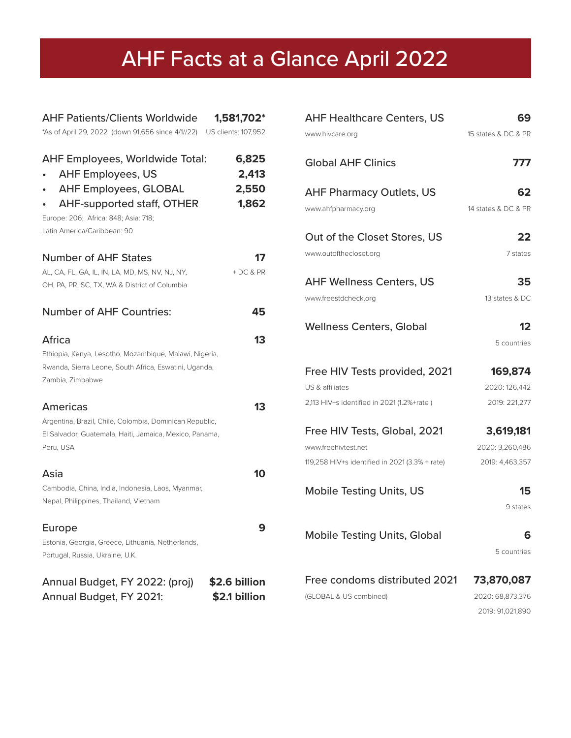# **INSIDE SCHEE ARE:** AHF Facts at a Glance April 2022

| <b>AHF Patients/Clients Worldwide</b><br>1,581,702*<br>*As of April 29, 2022 (down 91,656 since 4/1//22)<br>US clients: 107,952                                                                                                                    |  |
|----------------------------------------------------------------------------------------------------------------------------------------------------------------------------------------------------------------------------------------------------|--|
| <b>AHF Employees, Worldwide Total:</b><br>6,825<br><b>AHF Employees, US</b><br>2,413<br><b>AHF Employees, GLOBAL</b><br>2,550<br><b>AHF-supported staff, OTHER</b><br>1,862<br>Europe: 206; Africa: 848; Asia: 718;<br>Latin America/Caribbean: 90 |  |
| <b>Number of AHF States</b><br>17                                                                                                                                                                                                                  |  |
| AL, CA, FL, GA, IL, IN, LA, MD, MS, NV, NJ, NY,<br>$+DC & PR$<br>OH, PA, PR, SC, TX, WA & District of Columbia                                                                                                                                     |  |
| <b>Number of AHF Countries:</b><br>45                                                                                                                                                                                                              |  |
| Africa<br>13<br>Ethiopia, Kenya, Lesotho, Mozambique, Malawi, Nigeria,<br>Rwanda, Sierra Leone, South Africa, Eswatini, Uganda,<br>Zambia, Zimbabwe                                                                                                |  |
| <b>Americas</b><br>13<br>Argentina, Brazil, Chile, Colombia, Dominican Republic,<br>El Salvador, Guatemala, Haiti, Jamaica, Mexico, Panama,<br>Peru, USA                                                                                           |  |
| Asia<br>10                                                                                                                                                                                                                                         |  |
| Cambodia, China, India, Indonesia, Laos, Myanmar,<br>Nepal, Philippines, Thailand, Vietnam                                                                                                                                                         |  |
| Europe<br>Estonia, Georgia, Greece, Lithuania, Netherlands,<br>Portugal, Russia, Ukraine, U.K.                                                                                                                                                     |  |
| Annual Budget, FY 2022: (proj)<br>\$2.6 billion<br>\$2.1 billion<br>Annual Budget, FY 2021:                                                                                                                                                        |  |

| <b>AHF Healthcare Centers, US</b>              | 69                  |
|------------------------------------------------|---------------------|
| www.hivcare.org                                | 15 states & DC & PR |
| <b>Global AHF Clinics</b>                      | 777                 |
| <b>AHF Pharmacy Outlets, US</b>                | 62                  |
| www.ahfpharmacy.org                            | 14 states & DC & PR |
| Out of the Closet Stores, US                   | 22                  |
| www.outofthecloset.org                         | 7 states            |
| <b>AHF Wellness Centers, US</b>                | 35                  |
| www.freestdcheck.org                           | 13 states & DC      |
| <b>Wellness Centers, Global</b>                | 12<br>5 countries   |
| Free HIV Tests provided, 2021                  | 169,874             |
| US & affiliates                                | 2020: 126,442       |
| 2,113 HIV+s identified in 2021 (1.2%+rate)     | 2019: 221,277       |
| Free HIV Tests, Global, 2021                   | 3,619,181           |
| www.freehivtest.net                            | 2020: 3,260,486     |
| 119,258 HIV+s identified in 2021 (3.3% + rate) | 2019: 4,463,357     |
| <b>Mobile Testing Units, US</b>                | 15<br>9 states      |
| <b>Mobile Testing Units, Global</b>            | 6<br>5 countries    |
| Free condoms distributed 2021                  | 73,870,087          |
| (GLOBAL & US combined)                         | 2020: 68,873,376    |

2019: 91,021,890